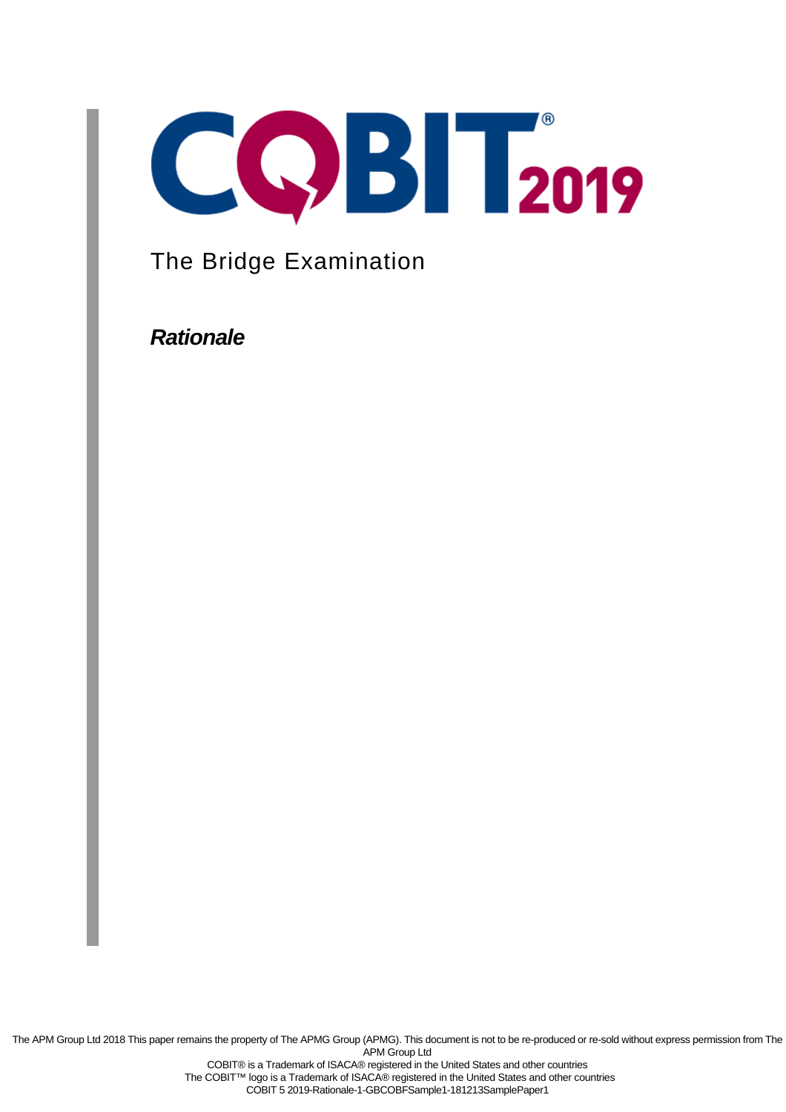

The Bridge Examination

**Rationale**

The APM Group Ltd 2018 This paper remains the property of The APMG Group (APMG). This document is not to be re-produced or re-sold without express permission from The APM Group Ltd COBIT® is a Trademark of ISACA® registered in the United States and other countries The COBIT™ logo is a Trademark of ISACA® registered in the United States and other countries

COBIT 5 2019-Rationale-1-GBCOBFSample1-181213SamplePaper1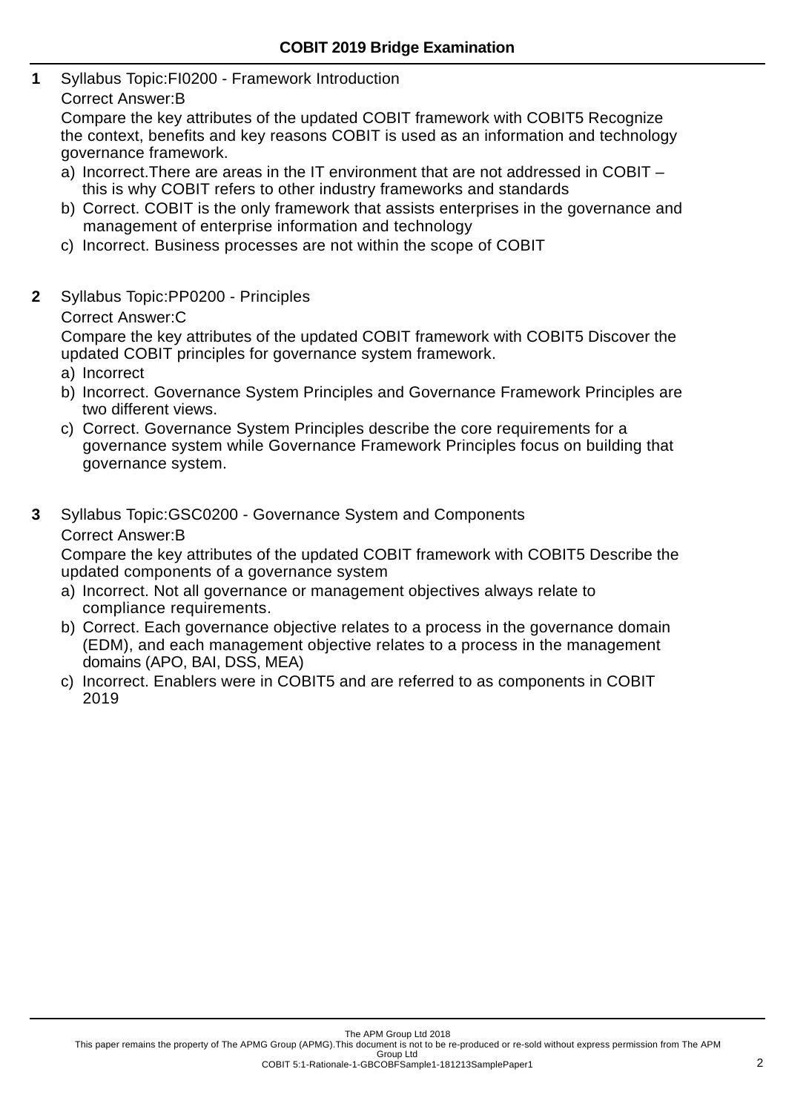- **1** Syllabus Topic:FI0200 Framework Introduction
	- Correct Answer:B

Compare the key attributes of the updated COBIT framework with COBIT5 Recognize the context, benefits and key reasons COBIT is used as an information and technology governance framework.

- a) Incorrect.There are areas in the IT environment that are not addressed in COBIT this is why COBIT refers to other industry frameworks and standards
- b) Correct. COBIT is the only framework that assists enterprises in the governance and management of enterprise information and technology
- c) Incorrect. Business processes are not within the scope of COBIT
- **2** Syllabus Topic:PP0200 Principles

Correct Answer:C

Compare the key attributes of the updated COBIT framework with COBIT5 Discover the updated COBIT principles for governance system framework.

- a) Incorrect
- b) Incorrect. Governance System Principles and Governance Framework Principles are two different views.
- c) Correct. Governance System Principles describe the core requirements for a governance system while Governance Framework Principles focus on building that governance system.
- **3** Syllabus Topic:GSC0200 Governance System and Components Correct Answer:B

Compare the key attributes of the updated COBIT framework with COBIT5 Describe the updated components of a governance system

- a) Incorrect. Not all governance or management objectives always relate to compliance requirements.
- b) Correct. Each governance objective relates to a process in the governance domain (EDM), and each management objective relates to a process in the management domains (APO, BAI, DSS, MEA)
- c) Incorrect. Enablers were in COBIT5 and are referred to as components in COBIT 2019

This paper remains the property of The APMG Group (APMG).This document is not to be re-produced or re-sold without express permission from The APM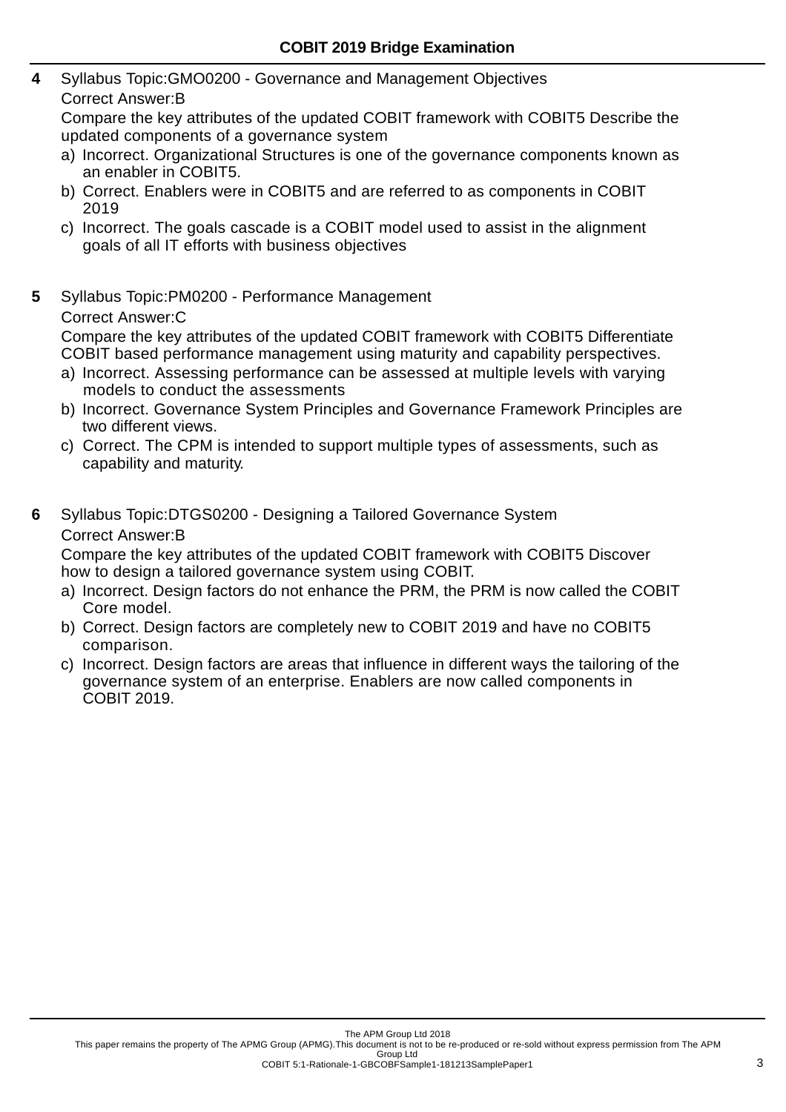- **4** Syllabus Topic:GMO0200 Governance and Management Objectives
	- Correct Answer:B

Compare the key attributes of the updated COBIT framework with COBIT5 Describe the updated components of a governance system

- a) Incorrect. Organizational Structures is one of the governance components known as an enabler in COBIT5.
- b) Correct. Enablers were in COBIT5 and are referred to as components in COBIT 2019
- c) Incorrect. The goals cascade is a COBIT model used to assist in the alignment goals of all IT efforts with business objectives
- **5** Syllabus Topic:PM0200 Performance Management Correct Answer:C

Compare the key attributes of the updated COBIT framework with COBIT5 Differentiate COBIT based performance management using maturity and capability perspectives.

- a) Incorrect. Assessing performance can be assessed at multiple levels with varying models to conduct the assessments
- b) Incorrect. Governance System Principles and Governance Framework Principles are two different views.
- c) Correct. The CPM is intended to support multiple types of assessments, such as capability and maturity.
- **6** Syllabus Topic:DTGS0200 Designing a Tailored Governance System Correct Answer:B

Compare the key attributes of the updated COBIT framework with COBIT5 Discover how to design a tailored governance system using COBIT.

- a) Incorrect. Design factors do not enhance the PRM, the PRM is now called the COBIT Core model.
- b) Correct. Design factors are completely new to COBIT 2019 and have no COBIT5 comparison.
- c) Incorrect. Design factors are areas that influence in different ways the tailoring of the governance system of an enterprise. Enablers are now called components in COBIT 2019.

This paper remains the property of The APMG Group (APMG).This document is not to be re-produced or re-sold without express permission from The APM Group Ltd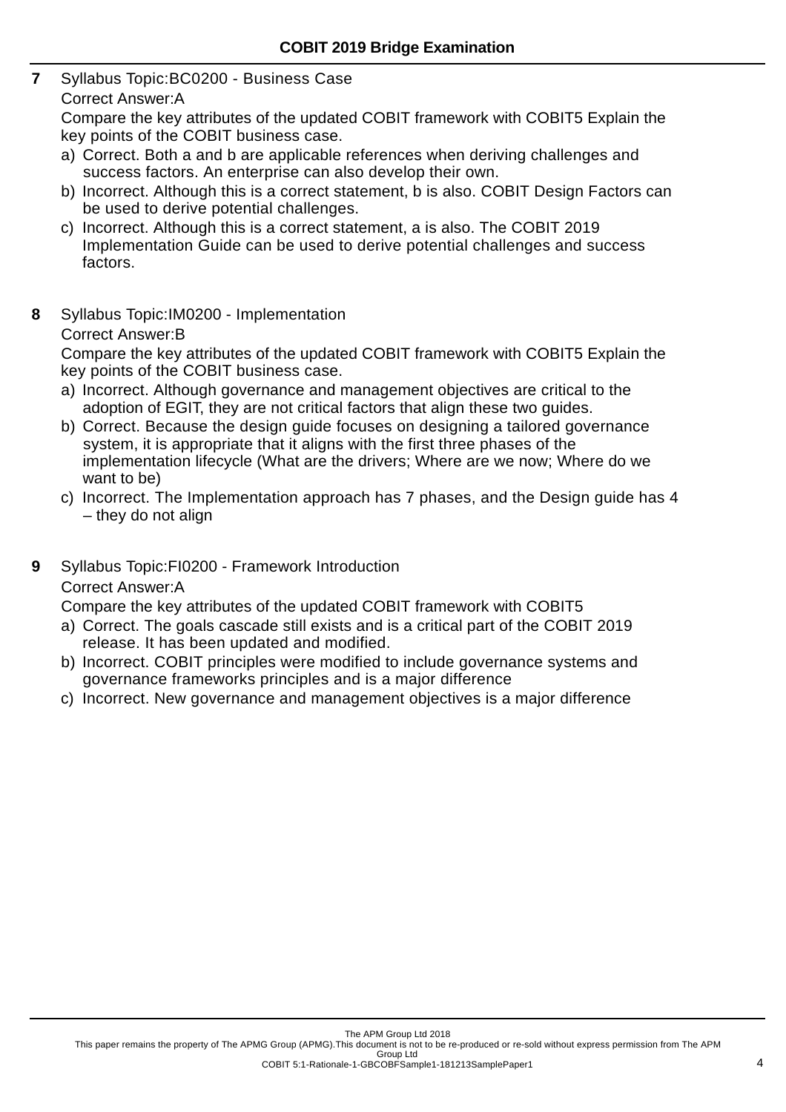**7** Syllabus Topic:BC0200 - Business Case

## Correct Answer:A

Compare the key attributes of the updated COBIT framework with COBIT5 Explain the key points of the COBIT business case.

- a) Correct. Both a and b are applicable references when deriving challenges and success factors. An enterprise can also develop their own.
- b) Incorrect. Although this is a correct statement, b is also. COBIT Design Factors can be used to derive potential challenges.
- c) Incorrect. Although this is a correct statement, a is also. The COBIT 2019 Implementation Guide can be used to derive potential challenges and success factors.
- **8** Syllabus Topic:IM0200 Implementation

## Correct Answer:B

Compare the key attributes of the updated COBIT framework with COBIT5 Explain the key points of the COBIT business case.

- a) Incorrect. Although governance and management objectives are critical to the adoption of EGIT, they are not critical factors that align these two guides.
- b) Correct. Because the design guide focuses on designing a tailored governance system, it is appropriate that it aligns with the first three phases of the implementation lifecycle (What are the drivers; Where are we now; Where do we want to be)
- c) Incorrect. The Implementation approach has 7 phases, and the Design guide has 4 – they do not align

**9** Syllabus Topic:FI0200 - Framework Introduction Correct Answer:A

Compare the key attributes of the updated COBIT framework with COBIT5

- a) Correct. The goals cascade still exists and is a critical part of the COBIT 2019 release. It has been updated and modified.
- b) Incorrect. COBIT principles were modified to include governance systems and governance frameworks principles and is a major difference
- c) Incorrect. New governance and management objectives is a major difference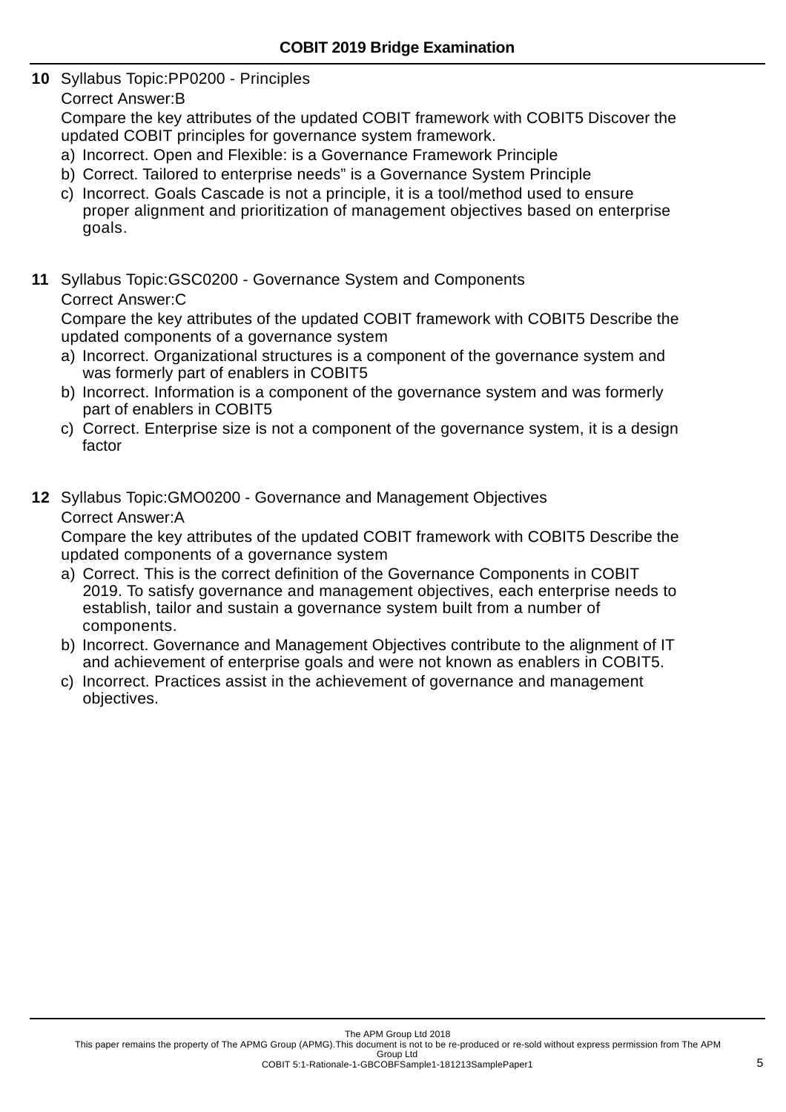**10** Syllabus Topic:PP0200 - Principles

Correct Answer:B

Compare the key attributes of the updated COBIT framework with COBIT5 Discover the updated COBIT principles for governance system framework.

- a) Incorrect. Open and Flexible: is a Governance Framework Principle
- b) Correct. Tailored to enterprise needs" is a Governance System Principle
- c) Incorrect. Goals Cascade is not a principle, it is a tool/method used to ensure proper alignment and prioritization of management objectives based on enterprise goals.
- **11** Syllabus Topic:GSC0200 Governance System and Components Correct Answer:C

Compare the key attributes of the updated COBIT framework with COBIT5 Describe the updated components of a governance system

- a) Incorrect. Organizational structures is a component of the governance system and was formerly part of enablers in COBIT5
- b) Incorrect. Information is a component of the governance system and was formerly part of enablers in COBIT5
- c) Correct. Enterprise size is not a component of the governance system, it is a design factor
- **12** Syllabus Topic:GMO0200 Governance and Management Objectives

## Correct Answer:A

Compare the key attributes of the updated COBIT framework with COBIT5 Describe the updated components of a governance system

- a) Correct. This is the correct definition of the Governance Components in COBIT 2019. To satisfy governance and management objectives, each enterprise needs to establish, tailor and sustain a governance system built from a number of components.
- b) Incorrect. Governance and Management Objectives contribute to the alignment of IT and achievement of enterprise goals and were not known as enablers in COBIT5.
- c) Incorrect. Practices assist in the achievement of governance and management objectives.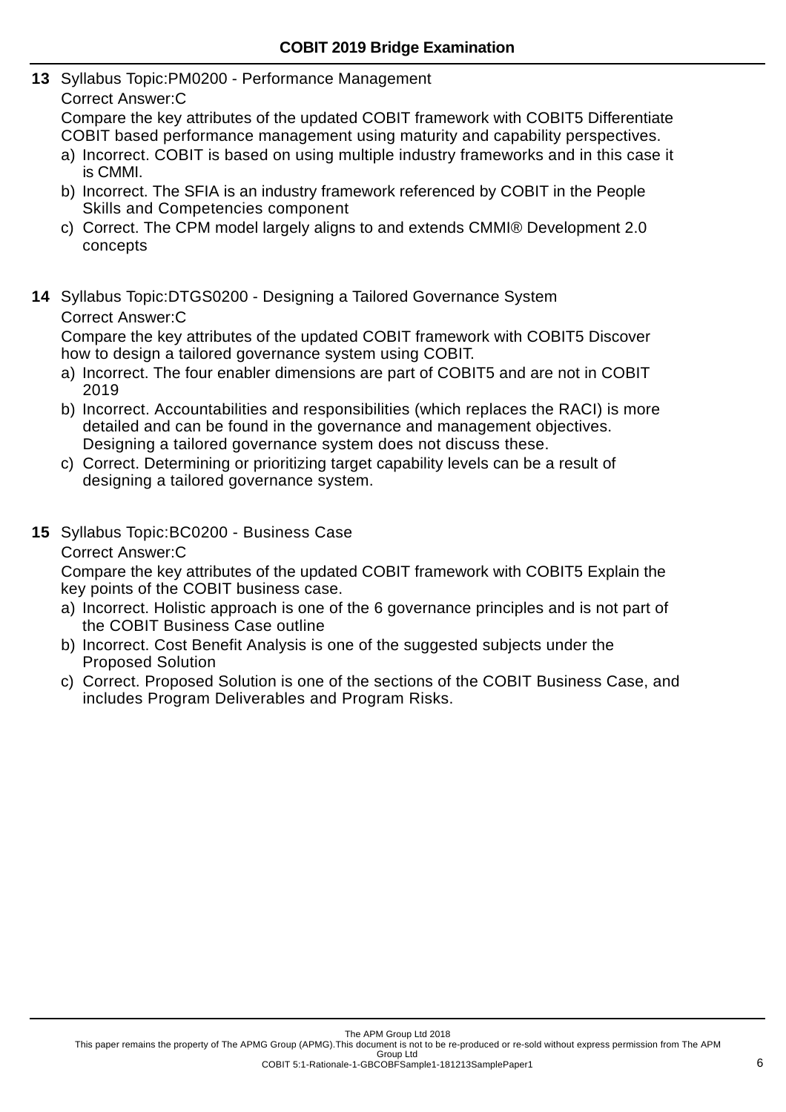- **13** Syllabus Topic:PM0200 Performance Management
	- Correct Answer:C

Compare the key attributes of the updated COBIT framework with COBIT5 Differentiate COBIT based performance management using maturity and capability perspectives.

- a) Incorrect. COBIT is based on using multiple industry frameworks and in this case it is CMMI.
- b) Incorrect. The SFIA is an industry framework referenced by COBIT in the People Skills and Competencies component
- c) Correct. The CPM model largely aligns to and extends CMMI® Development 2.0 concepts
- **14** Syllabus Topic:DTGS0200 Designing a Tailored Governance System Correct Answer:C

Compare the key attributes of the updated COBIT framework with COBIT5 Discover how to design a tailored governance system using COBIT.

- a) Incorrect. The four enabler dimensions are part of COBIT5 and are not in COBIT 2019
- b) Incorrect. Accountabilities and responsibilities (which replaces the RACI) is more detailed and can be found in the governance and management objectives. Designing a tailored governance system does not discuss these.
- c) Correct. Determining or prioritizing target capability levels can be a result of designing a tailored governance system.
- **15** Syllabus Topic:BC0200 Business Case

Correct Answer:C

Compare the key attributes of the updated COBIT framework with COBIT5 Explain the key points of the COBIT business case.

- a) Incorrect. Holistic approach is one of the 6 governance principles and is not part of the COBIT Business Case outline
- b) Incorrect. Cost Benefit Analysis is one of the suggested subjects under the Proposed Solution
- c) Correct. Proposed Solution is one of the sections of the COBIT Business Case, and includes Program Deliverables and Program Risks.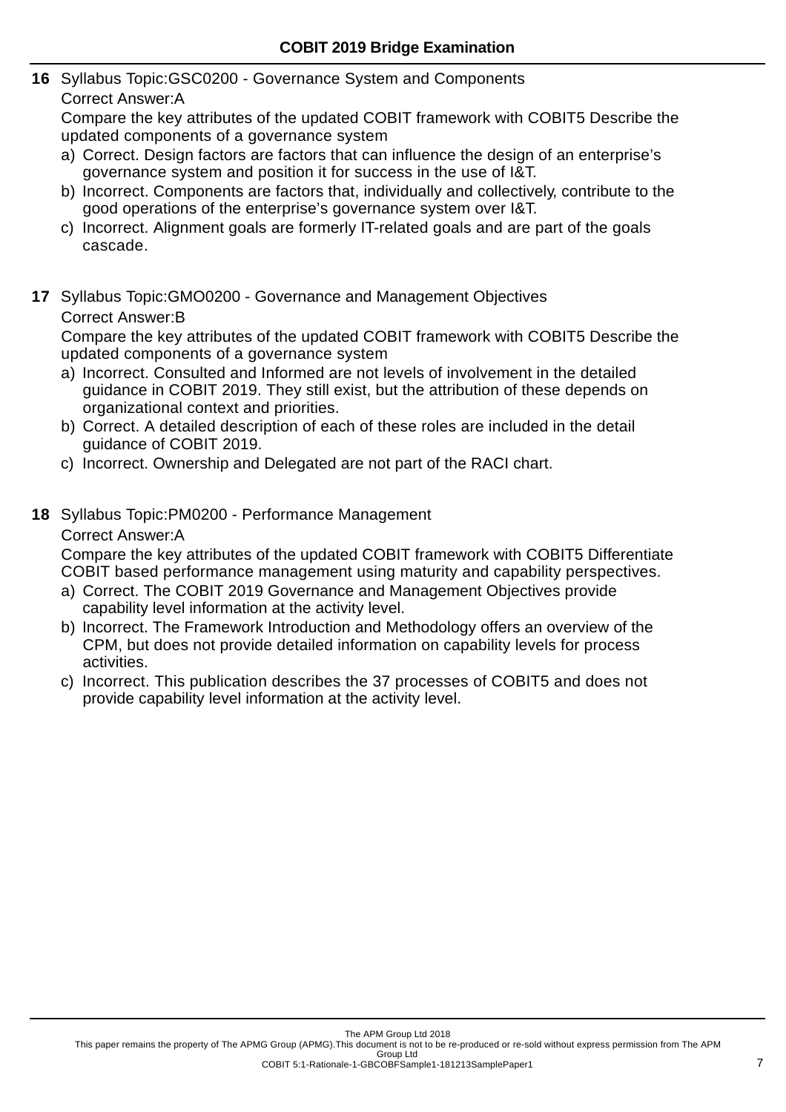- **16** Syllabus Topic:GSC0200 Governance System and Components
	- Correct Answer:A

Compare the key attributes of the updated COBIT framework with COBIT5 Describe the updated components of a governance system

- a) Correct. Design factors are factors that can influence the design of an enterprise's governance system and position it for success in the use of I&T.
- b) Incorrect. Components are factors that, individually and collectively, contribute to the good operations of the enterprise's governance system over I&T.
- c) Incorrect. Alignment goals are formerly IT-related goals and are part of the goals cascade.
- **17** Syllabus Topic:GMO0200 Governance and Management Objectives Correct Answer:B

Compare the key attributes of the updated COBIT framework with COBIT5 Describe the updated components of a governance system

- a) Incorrect. Consulted and Informed are not levels of involvement in the detailed guidance in COBIT 2019. They still exist, but the attribution of these depends on organizational context and priorities.
- b) Correct. A detailed description of each of these roles are included in the detail guidance of COBIT 2019.
- c) Incorrect. Ownership and Delegated are not part of the RACI chart.
- **18** Syllabus Topic:PM0200 Performance Management

## Correct Answer:A

Compare the key attributes of the updated COBIT framework with COBIT5 Differentiate COBIT based performance management using maturity and capability perspectives.

- a) Correct. The COBIT 2019 Governance and Management Objectives provide capability level information at the activity level.
- b) Incorrect. The Framework Introduction and Methodology offers an overview of the CPM, but does not provide detailed information on capability levels for process activities.
- c) Incorrect. This publication describes the 37 processes of COBIT5 and does not provide capability level information at the activity level.